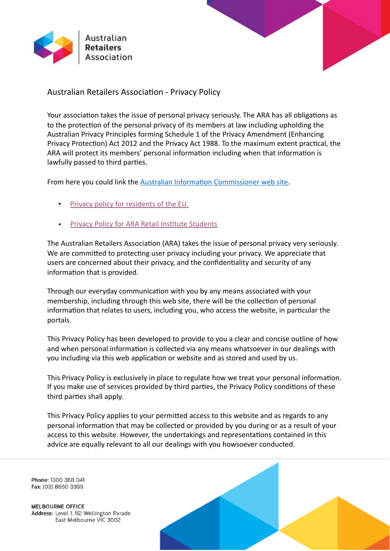



Australian Retailers Association - Privacy Policy

Your association takes the issue of personal privacy seriously. The ARA has all obligations as to the protection of the personal privacy of its members at law including upholding the Australian Privacy Principles forming Schedule 1 of the Privacy Amendment (Enhancing Privacy Protection) Act 2012 and the Privacy Act 1988. To the maximum extent practical, the ARA will protect its members' personal information including when that information is lawfully passed to third parties.

From here you could link the Australian Information Commissioner web site.

- Privacy policy for residents of the EU.
- Privacy Policy for ARA Retail Institute Students

The Australian Retailers Association (ARA) takes the issue of personal privacy very seriously. We are committed to protecting user privacy including your privacy. We appreciate that users are concerned about their privacy, and the confidentiality and security of any information that is provided.

Through our everyday communication with you by any means associated with your membership, including through this web site, there will be the collection of personal information that relates to users, including you, who access the website, in particular the portals. 

This Privacy Policy has been developed to provide to you a clear and concise outline of how and when personal information is collected via any means whatsoever in our dealings with you including via this web application or website and as stored and used by us.

This Privacy Policy is exclusively in place to regulate how we treat your personal information. If you make use of services provided by third parties, the Privacy Policy conditions of these third parties shall apply.

This Privacy Policy applies to your permitted access to this website and as regards to any personal information that may be collected or provided by you during or as a result of your access to this website. However, the undertakings and representations contained in this advice are equally relevant to all our dealings with you howsoever conducted.

Phone: 1300 368 041 Fax: (03) 8660 3399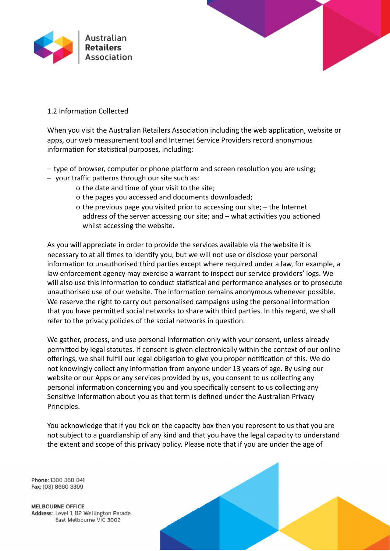



## 1.2 Information Collected

When you visit the Australian Retailers Association including the web application, website or apps, our web measurement tool and Internet Service Providers record anonymous information for statistical purposes, including:

- $-$  type of browser, computer or phone platform and screen resolution you are using;
- your traffic patterns through our site such as:
	- o the date and time of your visit to the site;
	- o the pages you accessed and documents downloaded;
	- o the previous page you visited prior to accessing our site;  $-$  the Internet address of the server accessing our site; and  $-$  what activities you actioned whilst accessing the website.

As you will appreciate in order to provide the services available via the website it is necessary to at all times to identify you, but we will not use or disclose your personal information to unauthorised third parties except where required under a law, for example, a law enforcement agency may exercise a warrant to inspect our service providers' logs. We will also use this information to conduct statistical and performance analyses or to prosecute unauthorised use of our website. The information remains anonymous whenever possible. We reserve the right to carry out personalised campaigns using the personal information that you have permitted social networks to share with third parties. In this regard, we shall refer to the privacy policies of the social networks in question.

We gather, process, and use personal information only with your consent, unless already permitted by legal statutes. If consent is given electronically within the context of our online offerings, we shall fulfill our legal obligation to give you proper notification of this. We do not knowingly collect any information from anyone under 13 years of age. By using our website or our Apps or any services provided by us, you consent to us collecting any personal information concerning you and you specifically consent to us collecting any Sensitive Information about you as that term is defined under the Australian Privacy Principles. 

You acknowledge that if you tick on the capacity box then you represent to us that you are not subject to a guardianship of any kind and that you have the legal capacity to understand the extent and scope of this privacy policy. Please note that if you are under the age of

Phone: 1300 368 041 Fax: (03) 8660 3399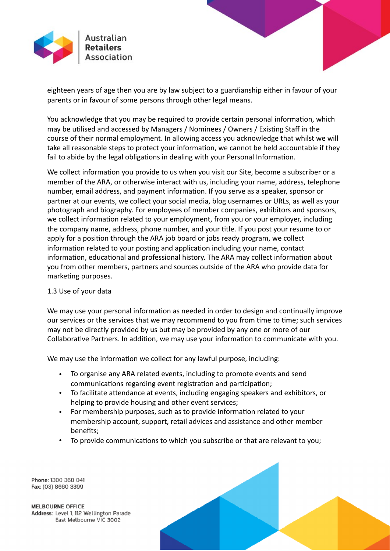

eighteen years of age then you are by law subject to a guardianship either in favour of your parents or in favour of some persons through other legal means.

You acknowledge that you may be required to provide certain personal information, which may be utilised and accessed by Managers / Nominees / Owners / Existing Staff in the course of their normal employment. In allowing access you acknowledge that whilst we will take all reasonable steps to protect your information, we cannot be held accountable if they fail to abide by the legal obligations in dealing with your Personal Information.

We collect information you provide to us when you visit our Site, become a subscriber or a member of the ARA, or otherwise interact with us, including your name, address, telephone number, email address, and payment information. If you serve as a speaker, sponsor or partner at our events, we collect your social media, blog usernames or URLs, as well as your photograph and biography. For employees of member companies, exhibitors and sponsors, we collect information related to your employment, from you or your employer, including the company name, address, phone number, and your title. If you post your resume to or apply for a position through the ARA job board or jobs ready program, we collect information related to your posting and application including your name, contact information, educational and professional history. The ARA may collect information about you from other members, partners and sources outside of the ARA who provide data for marketing purposes.

### 1.3 Use of your data

We may use your personal information as needed in order to design and continually improve our services or the services that we may recommend to you from time to time; such services may not be directly provided by us but may be provided by any one or more of our Collaborative Partners. In addition, we may use your information to communicate with you.

We may use the information we collect for any lawful purpose, including:

- To organise any ARA related events, including to promote events and send communications regarding event registration and participation;
- To facilitate attendance at events, including engaging speakers and exhibitors, or helping to provide housing and other event services;
- For membership purposes, such as to provide information related to your membership account, support, retail advices and assistance and other member benefits;
- To provide communications to which you subscribe or that are relevant to you;



Phone: 1300 368 041 Fax: (03) 8660 3399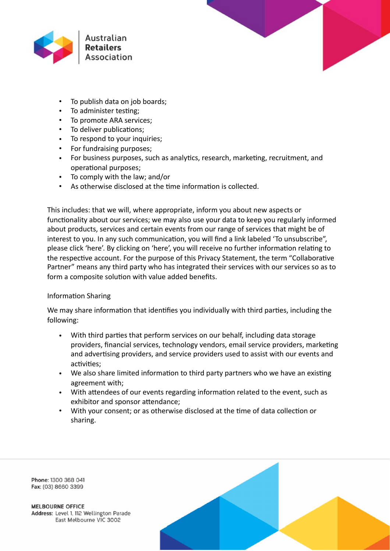



- To publish data on job boards;
- To administer testing;
- To promote ARA services:
- To deliver publications;
- To respond to your inquiries;
- For fundraising purposes;
- For business purposes, such as analytics, research, marketing, recruitment, and operational purposes;
- To comply with the law: and/or
- As otherwise disclosed at the time information is collected.

This includes: that we will, where appropriate, inform you about new aspects or functionality about our services; we may also use your data to keep you regularly informed about products, services and certain events from our range of services that might be of interest to you. In any such communication, you will find a link labeled 'To unsubscribe", please click 'here'. By clicking on 'here', you will receive no further information relating to the respective account. For the purpose of this Privacy Statement, the term "Collaborative Partner" means any third party who has integrated their services with our services so as to form a composite solution with value added benefits.

# Information Sharing

We may share information that identifies you individually with third parties, including the following: 

- With third parties that perform services on our behalf, including data storage providers, financial services, technology vendors, email service providers, marketing and advertising providers, and service providers used to assist with our events and activities:
- We also share limited information to third party partners who we have an existing agreement with;
- With attendees of our events regarding information related to the event, such as exhibitor and sponsor attendance;
- With your consent; or as otherwise disclosed at the time of data collection or sharing.

Phone: 1300 368 041 Fax: (03) 8660 3399

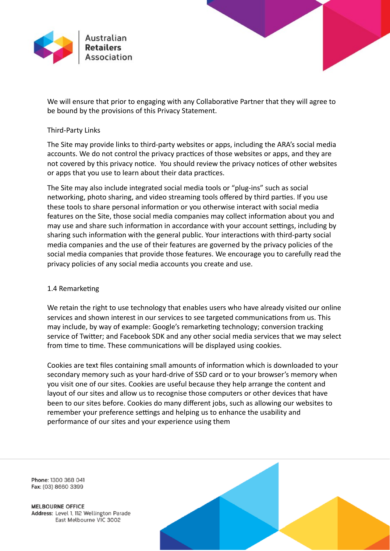

We will ensure that prior to engaging with any Collaborative Partner that they will agree to be bound by the provisions of this Privacy Statement.

## Third-Party Links

The Site may provide links to third-party websites or apps, including the ARA's social media accounts. We do not control the privacy practices of those websites or apps, and they are not covered by this privacy notice. You should review the privacy notices of other websites or apps that you use to learn about their data practices.

The Site may also include integrated social media tools or "plug-ins" such as social networking, photo sharing, and video streaming tools offered by third parties. If you use these tools to share personal information or you otherwise interact with social media features on the Site, those social media companies may collect information about you and may use and share such information in accordance with your account settings, including by sharing such information with the general public. Your interactions with third-party social media companies and the use of their features are governed by the privacy policies of the social media companies that provide those features. We encourage you to carefully read the privacy policies of any social media accounts you create and use.

### 1.4 Remarketing

We retain the right to use technology that enables users who have already visited our online services and shown interest in our services to see targeted communications from us. This may include, by way of example: Google's remarketing technology; conversion tracking service of Twitter; and Facebook SDK and any other social media services that we may select from time to time. These communications will be displayed using cookies.

Cookies are text files containing small amounts of information which is downloaded to your secondary memory such as your hard-drive of SSD card or to your browser's memory when you visit one of our sites. Cookies are useful because they help arrange the content and layout of our sites and allow us to recognise those computers or other devices that have been to our sites before. Cookies do many different jobs, such as allowing our websites to remember your preference settings and helping us to enhance the usability and performance of our sites and your experience using them

Phone: 1300 368 041 Fax: (03) 8660 3399

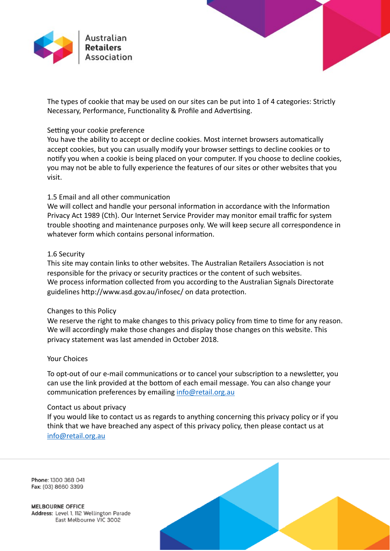

The types of cookie that may be used on our sites can be put into 1 of 4 categories: Strictly Necessary, Performance, Functionality & Profile and Advertising.

#### Setting your cookie preference

You have the ability to accept or decline cookies. Most internet browsers automatically accept cookies, but you can usually modify your browser settings to decline cookies or to notify you when a cookie is being placed on your computer. If you choose to decline cookies, you may not be able to fully experience the features of our sites or other websites that you visit. 

## 1.5 Email and all other communication

We will collect and handle your personal information in accordance with the Information Privacy Act 1989 (Cth). Our Internet Service Provider may monitor email traffic for system trouble shooting and maintenance purposes only. We will keep secure all correspondence in whatever form which contains personal information.

### 1.6 Security

This site may contain links to other websites. The Australian Retailers Association is not responsible for the privacy or security practices or the content of such websites. We process information collected from you according to the Australian Signals Directorate guidelines http://www.asd.gov.au/infosec/ on data protection.

### Changes to this Policy

We reserve the right to make changes to this privacy policy from time to time for any reason. We will accordingly make those changes and display those changes on this website. This privacy statement was last amended in October 2018.

#### Your Choices

To opt-out of our e-mail communications or to cancel your subscription to a newsletter, you can use the link provided at the bottom of each email message. You can also change your communication preferences by emailing info@retail.org.au

#### Contact us about privacy

If you would like to contact us as regards to anything concerning this privacy policy or if you think that we have breached any aspect of this privacy policy, then please contact us at info@retail.org.au 

Phone: 1300 368 041 Fax: (03) 8660 3399